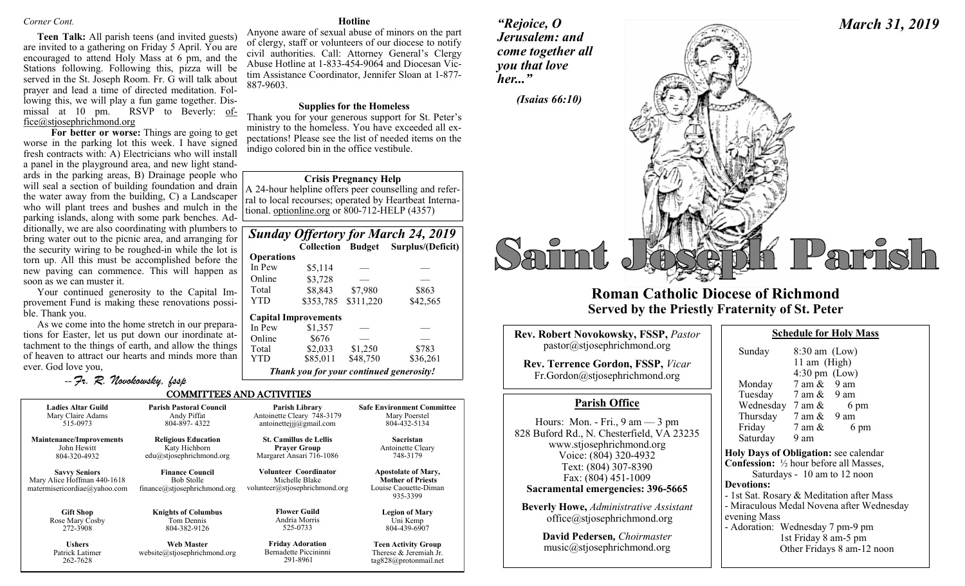#### *Corner Cont.*

**Teen Talk:** All parish teens (and invited guests) are invited to a gathering on Friday 5 April. You are encouraged to attend Holy Mass at 6 pm, and the Stations following. Following this, pizza will be served in the St. Joseph Room. Fr. G will talk about prayer and lead a time of directed meditation. Following this, we will play a fun game together. Dismissal at 10 pm. RSVP to Beverly: office@stjosephrichmond.org

**For better or worse:** Things are going to get worse in the parking lot this week. I have signed fresh contracts with: A) Electricians who will install a panel in the playground area, and new light standards in the parking areas, B) Drainage people who will seal a section of building foundation and drain the water away from the building, C) a Landscaper who will plant trees and bushes and mulch in the parking islands, along with some park benches. Additionally, we are also coordinating with plumbers to bring water out to the picnic area, and arranging for the security wiring to be roughed-in while the lot is torn up. All this must be accomplished before the new paving can commence. This will happen as soon as we can muster it.

Your continued generosity to the Capital Improvement Fund is making these renovations possible. Thank you.

As we come into the home stretch in our preparations for Easter, let us put down our inordinate attachment to the things of earth, and allow the things of heaven to attract our hearts and minds more than ever. God love you,

-- *Fr. R. Novokowsky, fssp* 

**Hotline**

Anyone aware of sexual abuse of minors on the part of clergy, staff or volunteers of our diocese to notify civil authorities. Call: Attorney General's Clergy Abuse Hotline at 1-833-454-9064 and Diocesan Victim Assistance Coordinator, Jennifer Sloan at 1-877- 887-9603.

#### **Supplies for the Homeless**

Thank you for your generous support for St. Peter's ministry to the homeless. You have exceeded all expectations! Please see the list of needed items on the indigo colored bin in the office vestibule.

#### **Crisis Pregnancy Help**

A 24-hour helpline offers peer counselling and referral to local recourses; operated by Heartbeat International. optionline.org or 800-712-HELP (4357)

| <b>Sunday Offertory for March 24, 2019</b> |        |  |                                     |
|--------------------------------------------|--------|--|-------------------------------------|
|                                            |        |  | Collection Budget Surplus/(Deficit) |
| <b>Operations</b>                          |        |  |                                     |
| In $\mathbf{p}_{\alpha W}$                 | $$511$ |  |                                     |

| In Pew     | \$5,114                     |                     |                   |
|------------|-----------------------------|---------------------|-------------------|
| Online     | \$3,728                     |                     |                   |
| Total      | \$8,843                     | \$7,980             | \$863             |
| <b>YTD</b> | \$353,785                   | \$311,220           | \$42,565          |
|            |                             |                     |                   |
|            | <b>Capital Improvements</b> |                     |                   |
| In Pew     | \$1,357                     |                     |                   |
| Online     | \$676                       |                     |                   |
| Total      | \$2,033<br>\$85,011         | \$1,250<br>\$48,750 | \$783<br>\$36,261 |

*Thank you for your continued generosity!*

#### COMMITTEES AND ACTIVITIES

| <b>Ladies Altar Guild</b>                                                           | <b>Parish Pastoral Council</b>                                              | Parish Library                                                            | <b>Safe Environment Committee</b>                                                           |
|-------------------------------------------------------------------------------------|-----------------------------------------------------------------------------|---------------------------------------------------------------------------|---------------------------------------------------------------------------------------------|
| Mary Claire Adams                                                                   | Andy Piffat                                                                 | Antoinette Cleary 748-3179                                                | Mary Poerstel                                                                               |
| 515-0973                                                                            | 804-897-4322                                                                | antoinetteiji@gmail.com                                                   | 804-432-5134                                                                                |
| <b>Maintenance/Improvements</b>                                                     | <b>Religious Education</b>                                                  | <b>St. Camillus de Lellis</b>                                             | <b>Sacristan</b>                                                                            |
| John Hewitt                                                                         | Katy Hichborn                                                               | <b>Prayer Group</b>                                                       | Antoinette Cleary                                                                           |
| 804-320-4932                                                                        | edu@stjosephrichmond.org                                                    | Margaret Ansari 716-1086                                                  | 748-3179                                                                                    |
| <b>Savvy Seniors</b><br>Mary Alice Hoffman 440-1618<br>matermisericordiae@yahoo.com | <b>Finance Council</b><br><b>Bob Stolle</b><br>finance@stjosephrichmond.org | Volunteer Coordinator<br>Michelle Blake<br>volunteer@stjosephrichmond.org | <b>Apostolate of Mary,</b><br><b>Mother of Priests</b><br>Louise Caouette-Diman<br>935-3399 |
| <b>Gift Shop</b>                                                                    | <b>Knights of Columbus</b>                                                  | <b>Flower Guild</b>                                                       | <b>Legion of Mary</b>                                                                       |
| Rose Mary Cosby                                                                     | Tom Dennis                                                                  | Andria Morris                                                             | Uni Kemp                                                                                    |
| 272-3908                                                                            | 804-382-9126                                                                | 525-0733                                                                  | 804-439-6907                                                                                |
| <b>Ushers</b><br>Patrick Latimer<br>262-7628                                        | <b>Web Master</b><br>website@stjosephrichmond.org                           | <b>Friday Adoration</b><br>Bernadette Piccininni<br>291-8961              | <b>Teen Activity Group</b><br>Therese & Jeremiah Jr.<br>tag828@protonmail.net               |

*"Rejoice, O Jerusalem: and come together all you that love her..."*



# **Roman Catholic Diocese of Richmond Served by the Priestly Fraternity of St. Peter**

| <b>Rev. Robert Novokowsky, FSSP, Pastor</b><br>pastor@stjosephrichmond.org<br><b>Rev. Terrence Gordon, FSSP, Vicar</b><br>Fr.Gordon@stjosephrichmond.org                                                                                                                                                                | Sunday<br>Monda                                                                                                                                     |
|-------------------------------------------------------------------------------------------------------------------------------------------------------------------------------------------------------------------------------------------------------------------------------------------------------------------------|-----------------------------------------------------------------------------------------------------------------------------------------------------|
| <b>Parish Office</b>                                                                                                                                                                                                                                                                                                    | Tuesda<br>Wedne                                                                                                                                     |
| Hours: Mon. - Fri., $9 \text{ am} - 3 \text{ pm}$<br>828 Buford Rd., N. Chesterfield, VA 23235<br>www.stjosephrichmond.org<br>Voice: (804) 320-4932<br>Text: (804) 307-8390<br>Fax: (804) 451-1009<br>Sacramental emergencies: 396-5665<br><b>Beverly Howe, Administrative Assistant</b><br>office@stjosephrichmond.org | Thursd<br>Friday<br>Saturda<br><b>Holy Days</b><br>Confession<br>Satı<br><b>Devotions</b><br>- 1st Sat. R<br>- Miraculo<br>evening M<br>- Adoration |
| David Pedersen, Choirmaster<br>music@stjosephrichmond.org                                                                                                                                                                                                                                                               |                                                                                                                                                     |

| Sunday                                         | $8:30$ am $(Low)$               |                                           |
|------------------------------------------------|---------------------------------|-------------------------------------------|
|                                                | 11 am (High)                    |                                           |
|                                                | $4:30 \text{ pm}$ (Low)         |                                           |
| Monday                                         | $7 \text{ am } \& 9 \text{ am}$ |                                           |
| Tuesday 7 am & 9 am                            |                                 |                                           |
| Wednesday $7 \text{ am } \& 6 \text{ pm}$      |                                 |                                           |
| Thursday $7 \text{ am } \& 9 \text{ am}$       |                                 |                                           |
| Friday                                         | $7 \text{ am } \&$              | 6 pm                                      |
| Saturday 9 am                                  |                                 |                                           |
| Holy Days of Obligation: see calendar          |                                 |                                           |
| <b>Confession:</b> 1/2 hour before all Masses, |                                 |                                           |
|                                                |                                 | Saturdays - 10 am to 12 noon              |
| <b>Devotions:</b>                              |                                 |                                           |
| - 1st Sat. Rosary & Meditation after Mass      |                                 |                                           |
|                                                |                                 | - Miraculous Medal Novena after Wednesday |
| evening Mass                                   |                                 |                                           |
| - Adoration: Wednesday 7 pm-9 pm               |                                 |                                           |
|                                                | 1st Friday 8 am-5 pm            |                                           |
|                                                |                                 | Other Fridays 8 am-12 noon                |
|                                                |                                 |                                           |

**Schedule for Holy Mass** 

## *March 31, 2019*